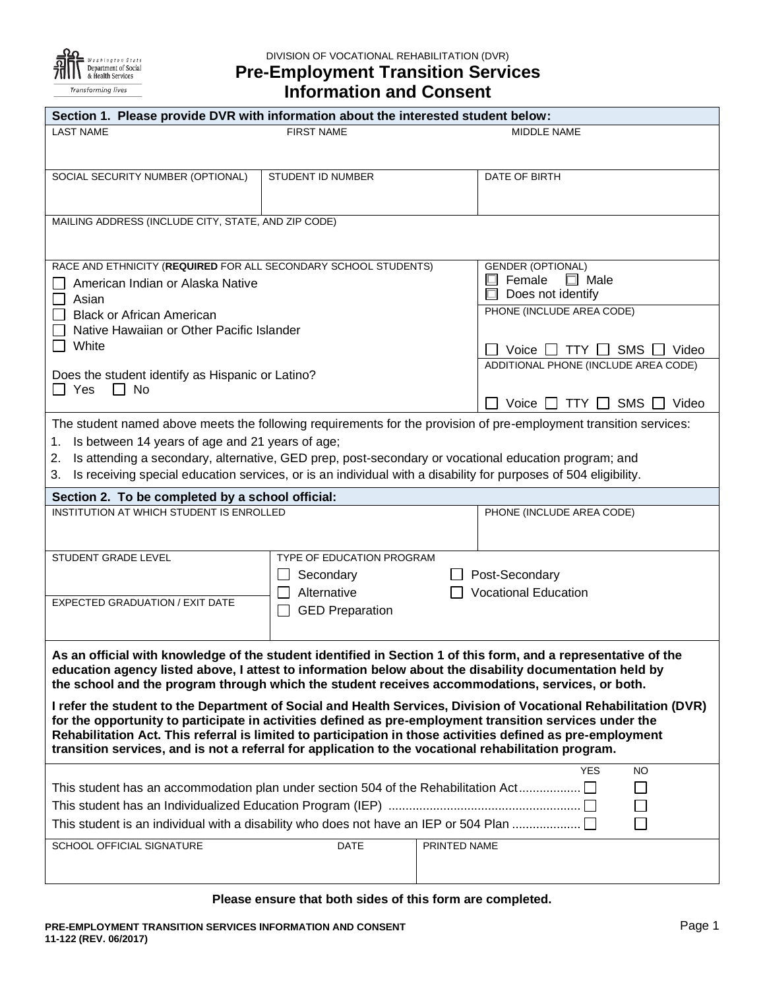

DIVISION OF VOCATIONAL REHABILITATION (DVR) **Pre-Employment Transition Services**

# **Information and Consent**

| Section 1. Please provide DVR with information about the interested student below:                                                                                                                                                                                                                                                                                                                                                                               |                                        |                                                                        |  |  |
|------------------------------------------------------------------------------------------------------------------------------------------------------------------------------------------------------------------------------------------------------------------------------------------------------------------------------------------------------------------------------------------------------------------------------------------------------------------|----------------------------------------|------------------------------------------------------------------------|--|--|
| <b>LAST NAME</b>                                                                                                                                                                                                                                                                                                                                                                                                                                                 | <b>FIRST NAME</b>                      | MIDDLE NAME                                                            |  |  |
| SOCIAL SECURITY NUMBER (OPTIONAL)                                                                                                                                                                                                                                                                                                                                                                                                                                | STUDENT ID NUMBER                      | DATE OF BIRTH                                                          |  |  |
| MAILING ADDRESS (INCLUDE CITY, STATE, AND ZIP CODE)                                                                                                                                                                                                                                                                                                                                                                                                              |                                        |                                                                        |  |  |
| RACE AND ETHNICITY (REQUIRED FOR ALL SECONDARY SCHOOL STUDENTS)<br>American Indian or Alaska Native<br>$\mathsf{L}$<br>Asian                                                                                                                                                                                                                                                                                                                                     |                                        | <b>GENDER (OPTIONAL)</b><br>Female<br>$\Box$ Male<br>Does not identify |  |  |
| <b>Black or African American</b><br>$\Box$<br>Native Hawaiian or Other Pacific Islander<br>$\Box$ White                                                                                                                                                                                                                                                                                                                                                          |                                        | PHONE (INCLUDE AREA CODE)<br>SMS<br>Voice $\Box$ TTY $\Box$<br>Video   |  |  |
| Does the student identify as Hispanic or Latino?<br>l I Yes<br>$\Box$ No                                                                                                                                                                                                                                                                                                                                                                                         |                                        | ADDITIONAL PHONE (INCLUDE AREA CODE)                                   |  |  |
| Voice $\Box$ TTY $\Box$<br>SMS $\Box$ Video<br>The student named above meets the following requirements for the provision of pre-employment transition services:<br>Is between 14 years of age and 21 years of age;<br>1.<br>Is attending a secondary, alternative, GED prep, post-secondary or vocational education program; and<br>2.<br>Is receiving special education services, or is an individual with a disability for purposes of 504 eligibility.<br>3. |                                        |                                                                        |  |  |
| Section 2. To be completed by a school official:                                                                                                                                                                                                                                                                                                                                                                                                                 |                                        |                                                                        |  |  |
| INSTITUTION AT WHICH STUDENT IS ENROLLED                                                                                                                                                                                                                                                                                                                                                                                                                         |                                        | PHONE (INCLUDE AREA CODE)                                              |  |  |
| STUDENT GRADE LEVEL                                                                                                                                                                                                                                                                                                                                                                                                                                              | TYPE OF EDUCATION PROGRAM<br>Secondary | □ Post-Secondary                                                       |  |  |
| EXPECTED GRADUATION / EXIT DATE                                                                                                                                                                                                                                                                                                                                                                                                                                  | Alternative<br><b>GED Preparation</b>  | <b>Vocational Education</b>                                            |  |  |
| As an official with knowledge of the student identified in Section 1 of this form, and a representative of the<br>education agency listed above, I attest to information below about the disability documentation held by<br>the school and the program through which the student receives accommodations, services, or both.                                                                                                                                    |                                        |                                                                        |  |  |
| I refer the student to the Department of Social and Health Services, Division of Vocational Rehabilitation (DVR)<br>for the opportunity to participate in activities defined as pre-employment transition services under the<br>Rehabilitation Act. This referral is limited to participation in those activities defined as pre-employment<br>transition services, and is not a referral for application to the vocational rehabilitation program.              |                                        |                                                                        |  |  |
| <b>YES</b><br><b>NO</b><br>This student has an accommodation plan under section 504 of the Rehabilitation Act<br>$\Box$<br>$\Box$<br>This student is an individual with a disability who does not have an IEP or 504 Plan<br>$\Box$                                                                                                                                                                                                                              |                                        |                                                                        |  |  |
| SCHOOL OFFICIAL SIGNATURE                                                                                                                                                                                                                                                                                                                                                                                                                                        | <b>DATE</b><br>PRINTED NAME            |                                                                        |  |  |

#### **Please ensure that both sides of this form are completed.**